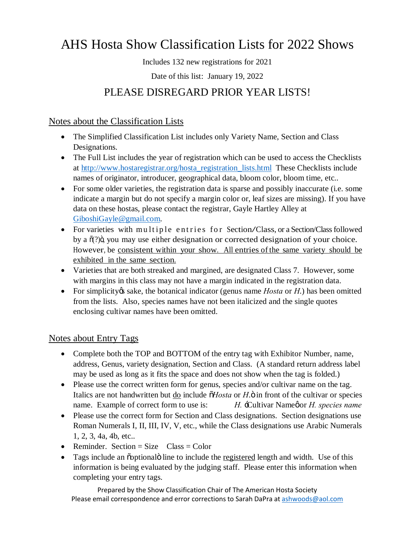# AHS Hosta Show Classification Lists for 2022 Shows

Includes 132 new registrations for 2021

Date of this list: January 19, 2022

### PLEASE DISREGARD PRIOR YEAR LISTS!

Notes about the Classification Lists

- · The Simplified Classification List includes only Variety Name, Section and Class Designations.
- The Full List includes the year of registration which can be used to access the Checklists at [http://www.hostaregistrar.org/hosta\\_registration\\_lists.html](http://www.hostaregistrar.org/hosta_registration_lists.html) These Checklists include names of originator, introducer, geographical data, bloom color, bloom time, etc..
- For some older varieties, the registration data is sparse and possibly inaccurate (i.e. some indicate a margin but do not specify a margin color or, leaf sizes are missing). If you have data on these hostas, please contact the registrar, Gayle Hartley Alley at [GiboshiGayle@gmail.com.](mailto:GiboshiGayle@gmail.com)
- For varieties with multiple entries for Section/Class, or a Section/Class followed by a  $\tilde{o}(?)\tilde{o}$ , you may use either designation or corrected designation of your choice. However, be consistent within your show. All entries of the same variety should be exhibited in the same section.
- · Varieties that are both streaked and margined, are designated Class 7. However, some with margins in this class may not have a margin indicated in the registration data.
- For simplicity *is* sake, the botanical indicator (genus name *Hosta* or *H*.) has been omitted from the lists. Also, species names have not been italicized and the single quotes enclosing cultivar names have been omitted.

#### Notes about Entry Tags

- Complete both the TOP and BOTTOM of the entry tag with Exhibitor Number, name, address, Genus, variety designation, Section and Class. (A standard return address label may be used as long as it fits the space and does not show when the tag is folded.)
- Please use the correct written form for genus, species and/or cultivar name on the tag. Italics are not handwritten but <u>do</u> include  $\delta$ *Hosta* or *H*. $\ddot{\text{o}}$  in front of the cultivar or species name. Example of correct form to use is: *H.* -Cultivar Namegor *H. species name*
- Please use the correct form for Section and Class designations. Section designations use Roman Numerals I, II, III, IV, V, etc., while the Class designations use Arabic Numerals 1, 2, 3, 4a, 4b, etc..
- Reminder. Section = Size  $\text{Class} = \text{Color}$
- Tags include an osptional ine to include the registered length and width. Use of this information is being evaluated by the judging staff. Please enter this information when completing your entry tags.

Prepared by the Show Classification Chair of The American Hosta Society Please email correspondence and error corrections to Sarah DaPra at ashwoods@aol.com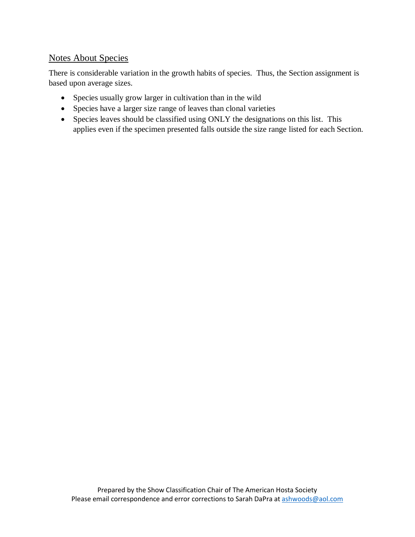#### Notes About Species

There is considerable variation in the growth habits of species. Thus, the Section assignment is based upon average sizes.

- Species usually grow larger in cultivation than in the wild
- · Species have a larger size range of leaves than clonal varieties
- · Species leaves should be classified using ONLY the designations on this list. This applies even if the specimen presented falls outside the size range listed for each Section.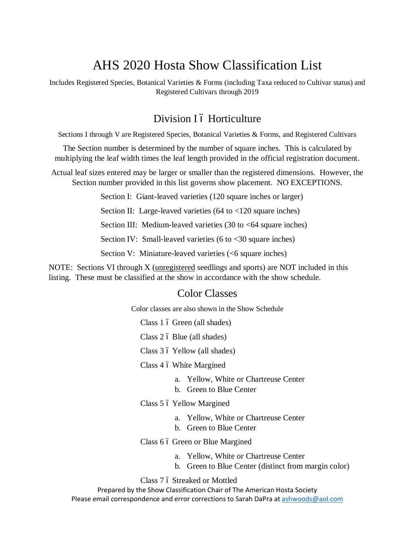## AHS 2020 Hosta Show Classification List

Includes Registered Species, Botanical Varieties & Forms (including Taxa reduced to Cultivar status) and Registered Cultivars through 2019

#### Division I ó Horticulture

Sections I through V are Registered Species, Botanical Varieties & Forms, and Registered Cultivars

The Section number is determined by the number of square inches. This is calculated by multiplying the leaf width times the leaf length provided in the official registration document.

Actual leaf sizes entered may be larger or smaller than the registered dimensions. However, the Section number provided in this list governs show placement. NO EXCEPTIONS.

Section I: Giant-leaved varieties (120 square inches or larger)

Section II: Large-leaved varieties (64 to <120 square inches)

Section III: Medium-leaved varieties  $(30 \text{ to } < 64 \text{ square inches})$ 

Section IV: Small-leaved varieties (6 to <30 square inches)

Section V: Miniature-leaved varieties (<6 square inches)

NOTE: Sections VI through X (unregistered seedlings and sports) are NOT included in this listing. These must be classified at the show in accordance with the show schedule.

#### Color Classes

Color classes are also shown in the Show Schedule

Class 1 6 Green (all shades)

Class 2 ó Blue (all shades)

Class 3 6 Yellow (all shades)

Class 4 6 White Margined

- a. Yellow, White or Chartreuse Center
- b. Green to Blue Center

Class 5 6 Yellow Margined

- a. Yellow, White or Chartreuse Center
- b. Green to Blue Center

Class 6 6 Green or Blue Margined

- a. Yellow, White or Chartreuse Center
- b. Green to Blue Center (distinct from margin color)

Class 7 ó Streaked or Mottled

Prepared by the Show Classification Chair of The American Hosta Society Please email correspondence and error corrections to Sarah DaPra at ashwoods@aol.com